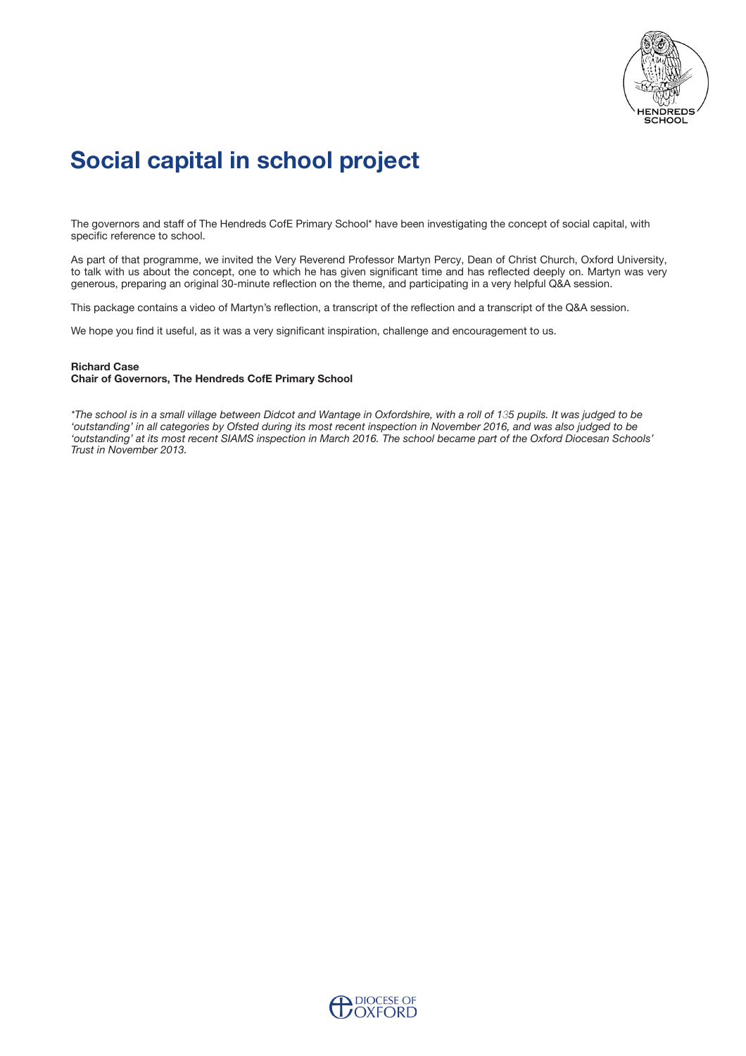

# **Social capital in school project**

The governors and staff of The Hendreds CofE Primary School\* have been investigating the concept of social capital, with specific reference to school.

As part of that programme, we invited the Very Reverend Professor Martyn Percy, Dean of Christ Church, Oxford University, to talk with us about the concept, one to which he has given significant time and has reflected deeply on. Martyn was very generous, preparing an original 30-minute refection on the theme, and participating in a very helpful Q&A session.

This package contains a video of Martyn's reflection, a transcript of the reflection and a transcript of the Q&A session.

We hope you find it useful, as it was a very significant inspiration, challenge and encouragement to us.

#### **Richard Case**

#### **Chair of Governors, The Hendreds CofE Primary School**

*\*The school is in a small village between Didcot and Wantage in Oxfordshire, with a roll of 135 pupils. It was judged to be 'outstanding' in all categories by Ofsted during its most recent inspection in November 2016, and was also judged to be 'outstanding' at its most recent SIAMS inspection in March 2016. The school became part of the Oxford Diocesan Schools' Trust in November 2013.*

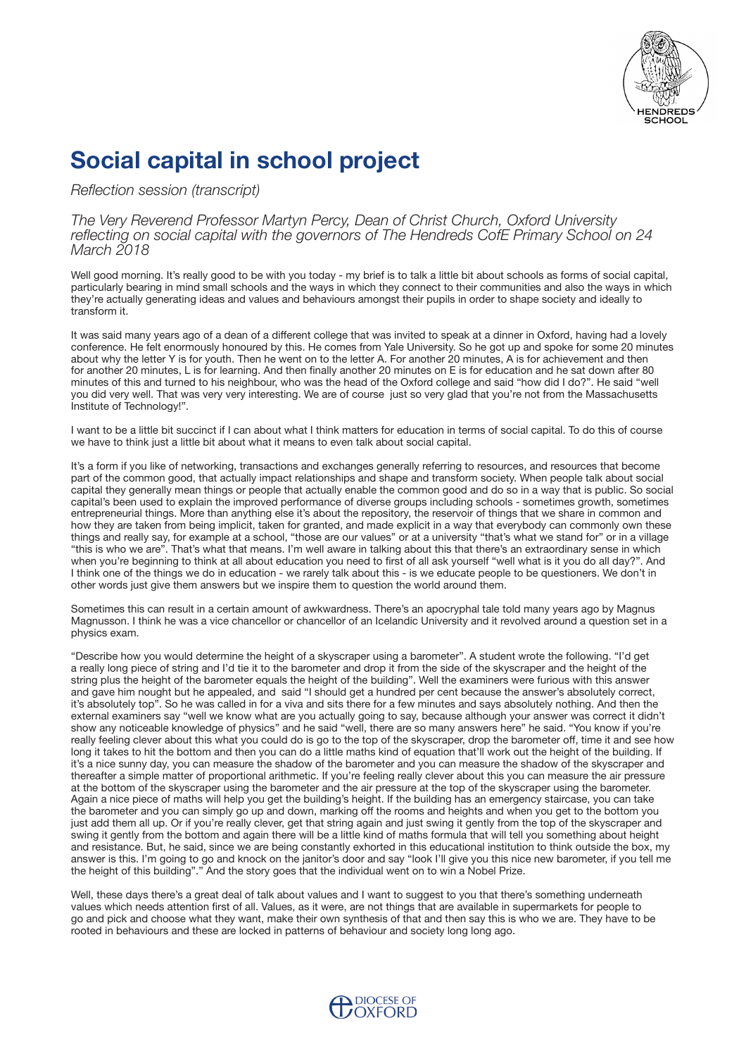

# **Social capital in school project**

*Refection session (transcript)*

*The Very Reverend Professor Martyn Percy, Dean of Christ Church, Oxford University refecting on social capital with the governors of The Hendreds CofE Primary School on 24 March 2018*

Well good morning. It's really good to be with you today - my brief is to talk a little bit about schools as forms of social capital, particularly bearing in mind small schools and the ways in which they connect to their communities and also the ways in which they're actually generating ideas and values and behaviours amongst their pupils in order to shape society and ideally to transform it.

It was said many years ago of a dean of a diferent college that was invited to speak at a dinner in Oxford, having had a lovely conference. He felt enormously honoured by this. He comes from Yale University. So he got up and spoke for some 20 minutes about why the letter Y is for youth. Then he went on to the letter A. For another 20 minutes, A is for achievement and then for another 20 minutes, L is for learning. And then finally another 20 minutes on E is for education and he sat down after 80 minutes of this and turned to his neighbour, who was the head of the Oxford college and said "how did I do?". He said "well you did very well. That was very very interesting. We are of course just so very glad that you're not from the Massachusetts Institute of Technology!".

I want to be a little bit succinct if I can about what I think matters for education in terms of social capital. To do this of course we have to think just a little bit about what it means to even talk about social capital.

It's a form if you like of networking, transactions and exchanges generally referring to resources, and resources that become part of the common good, that actually impact relationships and shape and transform society. When people talk about social capital they generally mean things or people that actually enable the common good and do so in a way that is public. So social capital's been used to explain the improved performance of diverse groups including schools - sometimes growth, sometimes entrepreneurial things. More than anything else it's about the repository, the reservoir of things that we share in common and how they are taken from being implicit, taken for granted, and made explicit in a way that everybody can commonly own these things and really say, for example at a school, "those are our values" or at a university "that's what we stand for" or in a village "this is who we are". That's what that means. I'm well aware in talking about this that there's an extraordinary sense in which when you're beginning to think at all about education you need to first of all ask yourself "well what is it you do all day?". And I think one of the things we do in education - we rarely talk about this - is we educate people to be questioners. We don't in other words just give them answers but we inspire them to question the world around them.

Sometimes this can result in a certain amount of awkwardness. There's an apocryphal tale told many years ago by Magnus Magnusson. I think he was a vice chancellor or chancellor of an Icelandic University and it revolved around a question set in a physics exam.

"Describe how you would determine the height of a skyscraper using a barometer". A student wrote the following. "I'd get a really long piece of string and I'd tie it to the barometer and drop it from the side of the skyscraper and the height of the string plus the height of the barometer equals the height of the building". Well the examiners were furious with this answer and gave him nought but he appealed, and said "I should get a hundred per cent because the answer's absolutely correct, it's absolutely top". So he was called in for a viva and sits there for a few minutes and says absolutely nothing. And then the external examiners say "well we know what are you actually going to say, because although your answer was correct it didn't show any noticeable knowledge of physics" and he said "well, there are so many answers here" he said. "You know if you're really feeling clever about this what you could do is go to the top of the skyscraper, drop the barometer off, time it and see how long it takes to hit the bottom and then you can do a little maths kind of equation that'll work out the height of the building. If it's a nice sunny day, you can measure the shadow of the barometer and you can measure the shadow of the skyscraper and thereafter a simple matter of proportional arithmetic. If you're feeling really clever about this you can measure the air pressure at the bottom of the skyscraper using the barometer and the air pressure at the top of the skyscraper using the barometer. Again a nice piece of maths will help you get the building's height. If the building has an emergency staircase, you can take the barometer and you can simply go up and down, marking of the rooms and heights and when you get to the bottom you just add them all up. Or if you're really clever, get that string again and just swing it gently from the top of the skyscraper and swing it gently from the bottom and again there will be a little kind of maths formula that will tell you something about height and resistance. But, he said, since we are being constantly exhorted in this educational institution to think outside the box, my answer is this. I'm going to go and knock on the janitor's door and say "look I'll give you this nice new barometer, if you tell me the height of this building"." And the story goes that the individual went on to win a Nobel Prize.

Well, these days there's a great deal of talk about values and I want to suggest to you that there's something underneath values which needs attention frst of all. Values, as it were, are not things that are available in supermarkets for people to go and pick and choose what they want, make their own synthesis of that and then say this is who we are. They have to be rooted in behaviours and these are locked in patterns of behaviour and society long long ago.

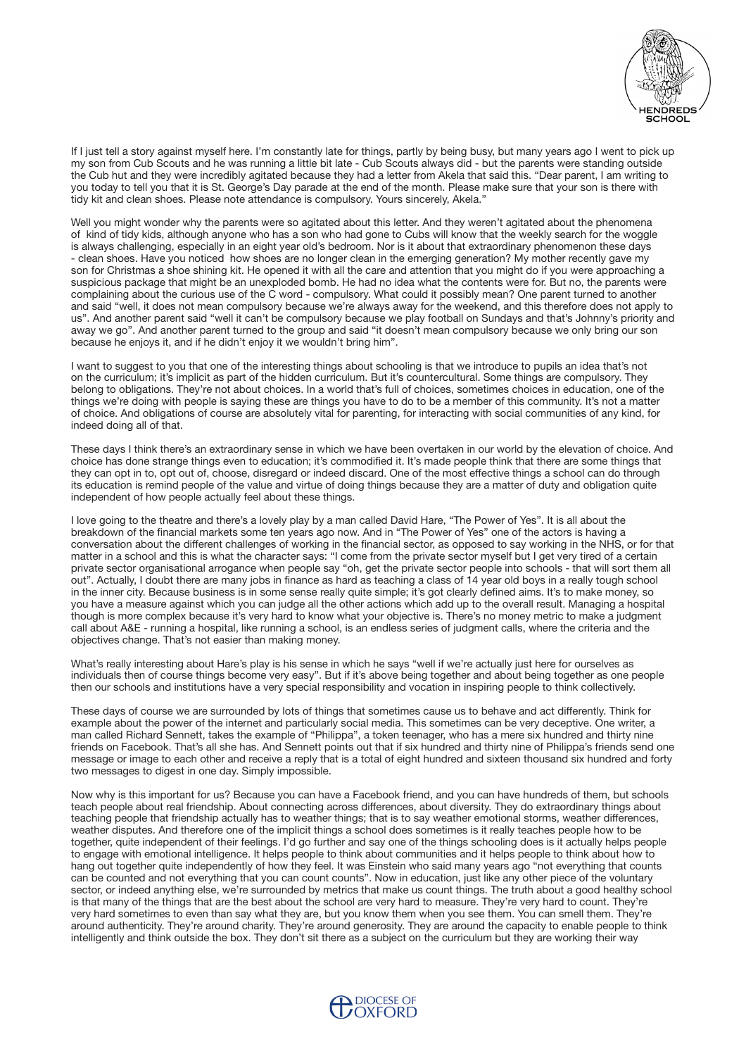

If I just tell a story against myself here. I'm constantly late for things, partly by being busy, but many years ago I went to pick up my son from Cub Scouts and he was running a little bit late - Cub Scouts always did - but the parents were standing outside the Cub hut and they were incredibly agitated because they had a letter from Akela that said this. "Dear parent, I am writing to you today to tell you that it is St. George's Day parade at the end of the month. Please make sure that your son is there with tidy kit and clean shoes. Please note attendance is compulsory. Yours sincerely, Akela."

Well you might wonder why the parents were so agitated about this letter. And they weren't agitated about the phenomena of kind of tidy kids, although anyone who has a son who had gone to Cubs will know that the weekly search for the woggle is always challenging, especially in an eight year old's bedroom. Nor is it about that extraordinary phenomenon these days - clean shoes. Have you noticed how shoes are no longer clean in the emerging generation? My mother recently gave my son for Christmas a shoe shining kit. He opened it with all the care and attention that you might do if you were approaching a suspicious package that might be an unexploded bomb. He had no idea what the contents were for. But no, the parents were complaining about the curious use of the C word - compulsory. What could it possibly mean? One parent turned to another and said "well, it does not mean compulsory because we're always away for the weekend, and this therefore does not apply to us". And another parent said "well it can't be compulsory because we play football on Sundays and that's Johnny's priority and away we go". And another parent turned to the group and said "it doesn't mean compulsory because we only bring our son because he enjoys it, and if he didn't enjoy it we wouldn't bring him".

I want to suggest to you that one of the interesting things about schooling is that we introduce to pupils an idea that's not on the curriculum; it's implicit as part of the hidden curriculum. But it's countercultural. Some things are compulsory. They belong to obligations. They're not about choices. In a world that's full of choices, sometimes choices in education, one of the things we're doing with people is saying these are things you have to do to be a member of this community. It's not a matter of choice. And obligations of course are absolutely vital for parenting, for interacting with social communities of any kind, for indeed doing all of that.

These days I think there's an extraordinary sense in which we have been overtaken in our world by the elevation of choice. And choice has done strange things even to education; it's commodifed it. It's made people think that there are some things that they can opt in to, opt out of, choose, disregard or indeed discard. One of the most efective things a school can do through its education is remind people of the value and virtue of doing things because they are a matter of duty and obligation quite independent of how people actually feel about these things.

I love going to the theatre and there's a lovely play by a man called David Hare, "The Power of Yes". It is all about the breakdown of the fnancial markets some ten years ago now. And in "The Power of Yes" one of the actors is having a conversation about the diferent challenges of working in the fnancial sector, as opposed to say working in the NHS, or for that matter in a school and this is what the character says: "I come from the private sector myself but I get very tired of a certain private sector organisational arrogance when people say "oh, get the private sector people into schools - that will sort them all out". Actually, I doubt there are many jobs in fnance as hard as teaching a class of 14 year old boys in a really tough school in the inner city. Because business is in some sense really quite simple; it's got clearly defned aims. It's to make money, so you have a measure against which you can judge all the other actions which add up to the overall result. Managing a hospital though is more complex because it's very hard to know what your objective is. There's no money metric to make a judgment call about A&E - running a hospital, like running a school, is an endless series of judgment calls, where the criteria and the objectives change. That's not easier than making money.

What's really interesting about Hare's play is his sense in which he says "well if we're actually just here for ourselves as individuals then of course things become very easy". But if it's above being together and about being together as one people then our schools and institutions have a very special responsibility and vocation in inspiring people to think collectively.

These days of course we are surrounded by lots of things that sometimes cause us to behave and act diferently. Think for example about the power of the internet and particularly social media. This sometimes can be very deceptive. One writer, a man called Richard Sennett, takes the example of "Philippa", a token teenager, who has a mere six hundred and thirty nine friends on Facebook. That's all she has. And Sennett points out that if six hundred and thirty nine of Philippa's friends send one message or image to each other and receive a reply that is a total of eight hundred and sixteen thousand six hundred and forty two messages to digest in one day. Simply impossible.

Now why is this important for us? Because you can have a Facebook friend, and you can have hundreds of them, but schools teach people about real friendship. About connecting across diferences, about diversity. They do extraordinary things about teaching people that friendship actually has to weather things; that is to say weather emotional storms, weather diferences, weather disputes. And therefore one of the implicit things a school does sometimes is it really teaches people how to be together, quite independent of their feelings. I'd go further and say one of the things schooling does is it actually helps people to engage with emotional intelligence. It helps people to think about communities and it helps people to think about how to hang out together quite independently of how they feel. It was Einstein who said many years ago "not everything that counts can be counted and not everything that you can count counts". Now in education, just like any other piece of the voluntary sector, or indeed anything else, we're surrounded by metrics that make us count things. The truth about a good healthy school is that many of the things that are the best about the school are very hard to measure. They're very hard to count. They're very hard sometimes to even than say what they are, but you know them when you see them. You can smell them. They're around authenticity. They're around charity. They're around generosity. They are around the capacity to enable people to think intelligently and think outside the box. They don't sit there as a subject on the curriculum but they are working their way

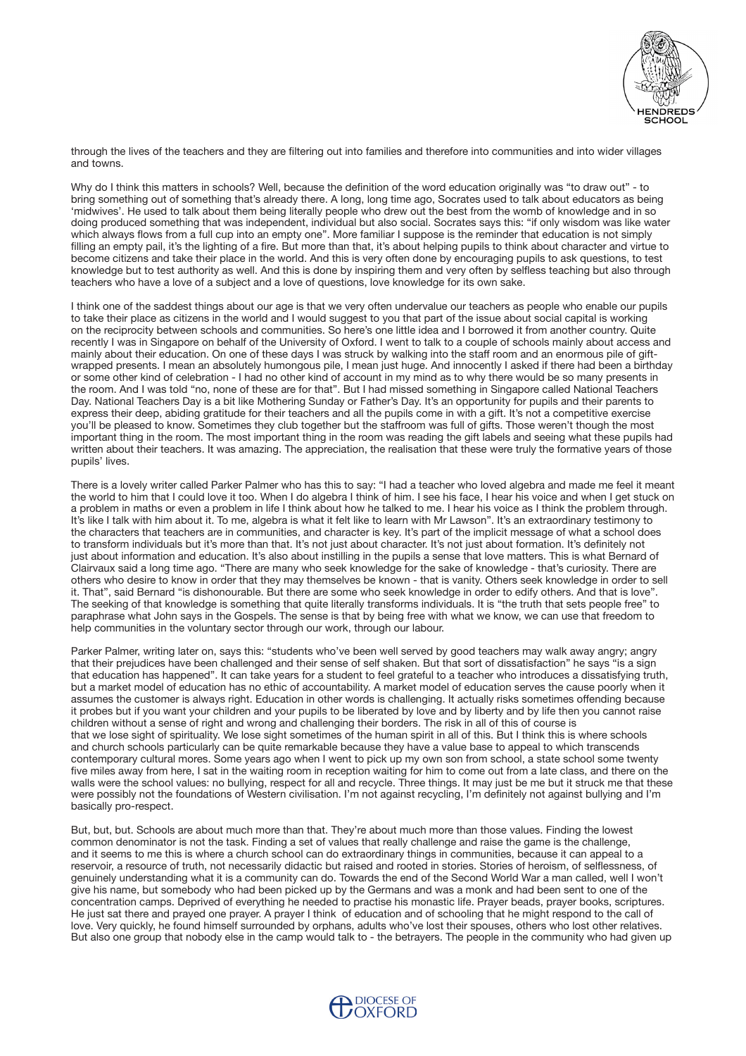

through the lives of the teachers and they are fltering out into families and therefore into communities and into wider villages and towns.

Why do I think this matters in schools? Well, because the definition of the word education originally was "to draw out" - to bring something out of something that's already there. A long, long time ago, Socrates used to talk about educators as being 'midwives'. He used to talk about them being literally people who drew out the best from the womb of knowledge and in so doing produced something that was independent, individual but also social. Socrates says this: "if only wisdom was like water which always flows from a full cup into an empty one". More familiar I suppose is the reminder that education is not simply filling an empty pail, it's the lighting of a fire. But more than that, it's about helping pupils to think about character and virtue to become citizens and take their place in the world. And this is very often done by encouraging pupils to ask questions, to test knowledge but to test authority as well. And this is done by inspiring them and very often by selfess teaching but also through teachers who have a love of a subject and a love of questions, love knowledge for its own sake.

I think one of the saddest things about our age is that we very often undervalue our teachers as people who enable our pupils to take their place as citizens in the world and I would suggest to you that part of the issue about social capital is working on the reciprocity between schools and communities. So here's one little idea and I borrowed it from another country. Quite recently I was in Singapore on behalf of the University of Oxford. I went to talk to a couple of schools mainly about access and mainly about their education. On one of these days I was struck by walking into the staf room and an enormous pile of giftwrapped presents. I mean an absolutely humongous pile, I mean just huge. And innocently I asked if there had been a birthday or some other kind of celebration - I had no other kind of account in my mind as to why there would be so many presents in the room. And I was told "no, none of these are for that". But I had missed something in Singapore called National Teachers Day. National Teachers Day is a bit like Mothering Sunday or Father's Day. It's an opportunity for pupils and their parents to express their deep, abiding gratitude for their teachers and all the pupils come in with a gift. It's not a competitive exercise you'll be pleased to know. Sometimes they club together but the stafroom was full of gifts. Those weren't though the most important thing in the room. The most important thing in the room was reading the gift labels and seeing what these pupils had written about their teachers. It was amazing. The appreciation, the realisation that these were truly the formative years of those pupils' lives.

There is a lovely writer called Parker Palmer who has this to say: "I had a teacher who loved algebra and made me feel it meant the world to him that I could love it too. When I do algebra I think of him. I see his face, I hear his voice and when I get stuck on a problem in maths or even a problem in life I think about how he talked to me. I hear his voice as I think the problem through. It's like I talk with him about it. To me, algebra is what it felt like to learn with Mr Lawson". It's an extraordinary testimony to the characters that teachers are in communities, and character is key. It's part of the implicit message of what a school does to transform individuals but it's more than that. It's not just about character. It's not just about formation. It's defnitely not just about information and education. It's also about instilling in the pupils a sense that love matters. This is what Bernard of Clairvaux said a long time ago. "There are many who seek knowledge for the sake of knowledge - that's curiosity. There are others who desire to know in order that they may themselves be known - that is vanity. Others seek knowledge in order to sell it. That", said Bernard "is dishonourable. But there are some who seek knowledge in order to edify others. And that is love". The seeking of that knowledge is something that quite literally transforms individuals. It is "the truth that sets people free" to paraphrase what John says in the Gospels. The sense is that by being free with what we know, we can use that freedom to help communities in the voluntary sector through our work, through our labour.

Parker Palmer, writing later on, says this: "students who've been well served by good teachers may walk away angry; angry that their prejudices have been challenged and their sense of self shaken. But that sort of dissatisfaction" he says "is a sign that education has happened". It can take years for a student to feel grateful to a teacher who introduces a dissatisfying truth, but a market model of education has no ethic of accountability. A market model of education serves the cause poorly when it assumes the customer is always right. Education in other words is challenging. It actually risks sometimes ofending because it probes but if you want your children and your pupils to be liberated by love and by liberty and by life then you cannot raise children without a sense of right and wrong and challenging their borders. The risk in all of this of course is that we lose sight of spirituality. We lose sight sometimes of the human spirit in all of this. But I think this is where schools and church schools particularly can be quite remarkable because they have a value base to appeal to which transcends contemporary cultural mores. Some years ago when I went to pick up my own son from school, a state school some twenty five miles away from here, I sat in the waiting room in reception waiting for him to come out from a late class, and there on the walls were the school values: no bullying, respect for all and recycle. Three things. It may just be me but it struck me that these were possibly not the foundations of Western civilisation. I'm not against recycling, I'm defnitely not against bullying and I'm basically pro-respect.

But, but, but. Schools are about much more than that. They're about much more than those values. Finding the lowest common denominator is not the task. Finding a set of values that really challenge and raise the game is the challenge, and it seems to me this is where a church school can do extraordinary things in communities, because it can appeal to a reservoir, a resource of truth, not necessarily didactic but raised and rooted in stories. Stories of heroism, of selfessness, of genuinely understanding what it is a community can do. Towards the end of the Second World War a man called, well I won't give his name, but somebody who had been picked up by the Germans and was a monk and had been sent to one of the concentration camps. Deprived of everything he needed to practise his monastic life. Prayer beads, prayer books, scriptures. He just sat there and prayed one prayer. A prayer I think of education and of schooling that he might respond to the call of love. Very quickly, he found himself surrounded by orphans, adults who've lost their spouses, others who lost other relatives. But also one group that nobody else in the camp would talk to - the betrayers. The people in the community who had given up

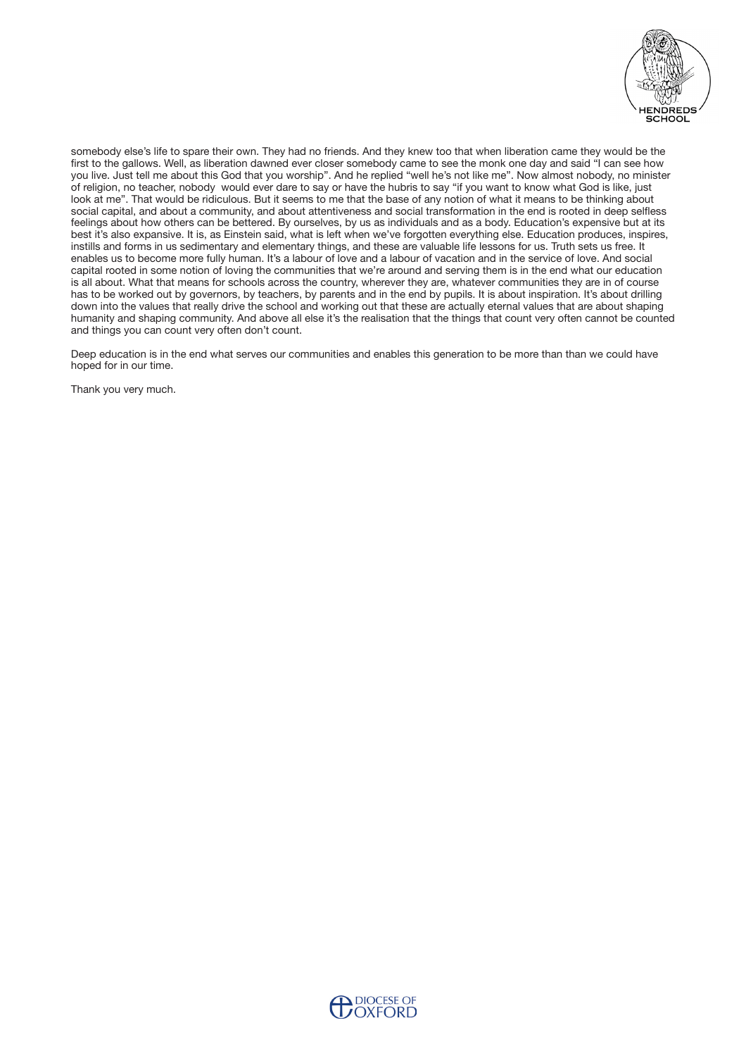

somebody else's life to spare their own. They had no friends. And they knew too that when liberation came they would be the first to the gallows. Well, as liberation dawned ever closer somebody came to see the monk one day and said "I can see how you live. Just tell me about this God that you worship". And he replied "well he's not like me". Now almost nobody, no minister of religion, no teacher, nobody would ever dare to say or have the hubris to say "if you want to know what God is like, just look at me". That would be ridiculous. But it seems to me that the base of any notion of what it means to be thinking about social capital, and about a community, and about attentiveness and social transformation in the end is rooted in deep selfess feelings about how others can be bettered. By ourselves, by us as individuals and as a body. Education's expensive but at its best it's also expansive. It is, as Einstein said, what is left when we've forgotten everything else. Education produces, inspires, instills and forms in us sedimentary and elementary things, and these are valuable life lessons for us. Truth sets us free. It enables us to become more fully human. It's a labour of love and a labour of vacation and in the service of love. And social capital rooted in some notion of loving the communities that we're around and serving them is in the end what our education is all about. What that means for schools across the country, wherever they are, whatever communities they are in of course has to be worked out by governors, by teachers, by parents and in the end by pupils. It is about inspiration. It's about drilling down into the values that really drive the school and working out that these are actually eternal values that are about shaping humanity and shaping community. And above all else it's the realisation that the things that count very often cannot be counted and things you can count very often don't count.

Deep education is in the end what serves our communities and enables this generation to be more than than we could have hoped for in our time.

Thank you very much.

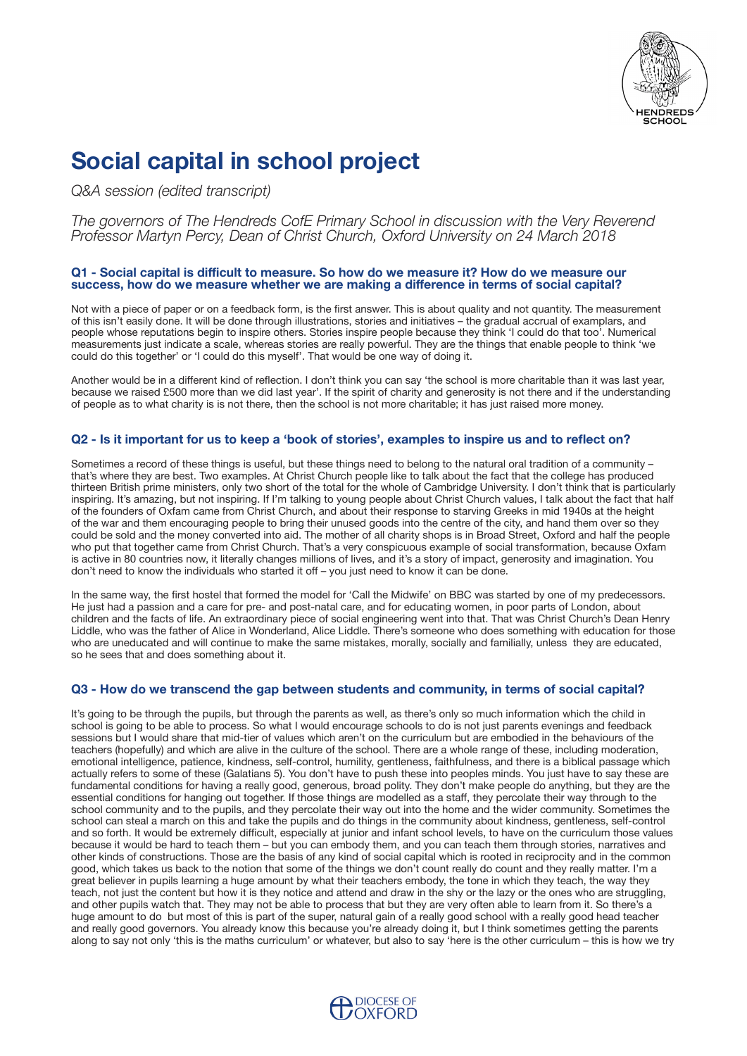

# **Social capital in school project**

*Q&A session (edited transcript)*

*The governors of The Hendreds CofE Primary School in discussion with the Very Reverend Professor Martyn Percy, Dean of Christ Church, Oxford University on 24 March 2018*

### **Q1 - Social capital is difcult to measure. So how do we measure it? How do we measure our success, how do we measure whether we are making a diference in terms of social capital?**

Not with a piece of paper or on a feedback form, is the frst answer. This is about quality and not quantity. The measurement of this isn't easily done. It will be done through illustrations, stories and initiatives – the gradual accrual of examplars, and people whose reputations begin to inspire others. Stories inspire people because they think 'I could do that too'. Numerical measurements just indicate a scale, whereas stories are really powerful. They are the things that enable people to think 'we could do this together' or 'I could do this myself'. That would be one way of doing it.

Another would be in a diferent kind of refection. I don't think you can say 'the school is more charitable than it was last year, because we raised £500 more than we did last year'. If the spirit of charity and generosity is not there and if the understanding of people as to what charity is is not there, then the school is not more charitable; it has just raised more money.

## **Q2 - Is it important for us to keep a 'book of stories', examples to inspire us and to refect on?**

Sometimes a record of these things is useful, but these things need to belong to the natural oral tradition of a community – that's where they are best. Two examples. At Christ Church people like to talk about the fact that the college has produced thirteen British prime ministers, only two short of the total for the whole of Cambridge University. I don't think that is particularly inspiring. It's amazing, but not inspiring. If I'm talking to young people about Christ Church values, I talk about the fact that half of the founders of Oxfam came from Christ Church, and about their response to starving Greeks in mid 1940s at the height of the war and them encouraging people to bring their unused goods into the centre of the city, and hand them over so they could be sold and the money converted into aid. The mother of all charity shops is in Broad Street, Oxford and half the people who put that together came from Christ Church. That's a very conspicuous example of social transformation, because Oxfam is active in 80 countries now, it literally changes millions of lives, and it's a story of impact, generosity and imagination. You don't need to know the individuals who started it of – you just need to know it can be done.

In the same way, the frst hostel that formed the model for 'Call the Midwife' on BBC was started by one of my predecessors. He just had a passion and a care for pre- and post-natal care, and for educating women, in poor parts of London, about children and the facts of life. An extraordinary piece of social engineering went into that. That was Christ Church's Dean Henry Liddle, who was the father of Alice in Wonderland, Alice Liddle. There's someone who does something with education for those who are uneducated and will continue to make the same mistakes, morally, socially and familially, unless they are educated, so he sees that and does something about it.

## **Q3 - How do we transcend the gap between students and community, in terms of social capital?**

It's going to be through the pupils, but through the parents as well, as there's only so much information which the child in school is going to be able to process. So what I would encourage schools to do is not just parents evenings and feedback sessions but I would share that mid-tier of values which aren't on the curriculum but are embodied in the behaviours of the teachers (hopefully) and which are alive in the culture of the school. There are a whole range of these, including moderation, emotional intelligence, patience, kindness, self-control, humility, gentleness, faithfulness, and there is a biblical passage which actually refers to some of these (Galatians 5). You don't have to push these into peoples minds. You just have to say these are fundamental conditions for having a really good, generous, broad polity. They don't make people do anything, but they are the essential conditions for hanging out together. If those things are modelled as a staf, they percolate their way through to the school community and to the pupils, and they percolate their way out into the home and the wider community. Sometimes the school can steal a march on this and take the pupils and do things in the community about kindness, gentleness, self-control and so forth. It would be extremely difficult, especially at junior and infant school levels, to have on the curriculum those values because it would be hard to teach them – but you can embody them, and you can teach them through stories, narratives and other kinds of constructions. Those are the basis of any kind of social capital which is rooted in reciprocity and in the common good, which takes us back to the notion that some of the things we don't count really do count and they really matter. I'm a great believer in pupils learning a huge amount by what their teachers embody, the tone in which they teach, the way they teach, not just the content but how it is they notice and attend and draw in the shy or the lazy or the ones who are struggling, and other pupils watch that. They may not be able to process that but they are very often able to learn from it. So there's a huge amount to do but most of this is part of the super, natural gain of a really good school with a really good head teacher and really good governors. You already know this because you're already doing it, but I think sometimes getting the parents along to say not only 'this is the maths curriculum' or whatever, but also to say 'here is the other curriculum – this is how we try

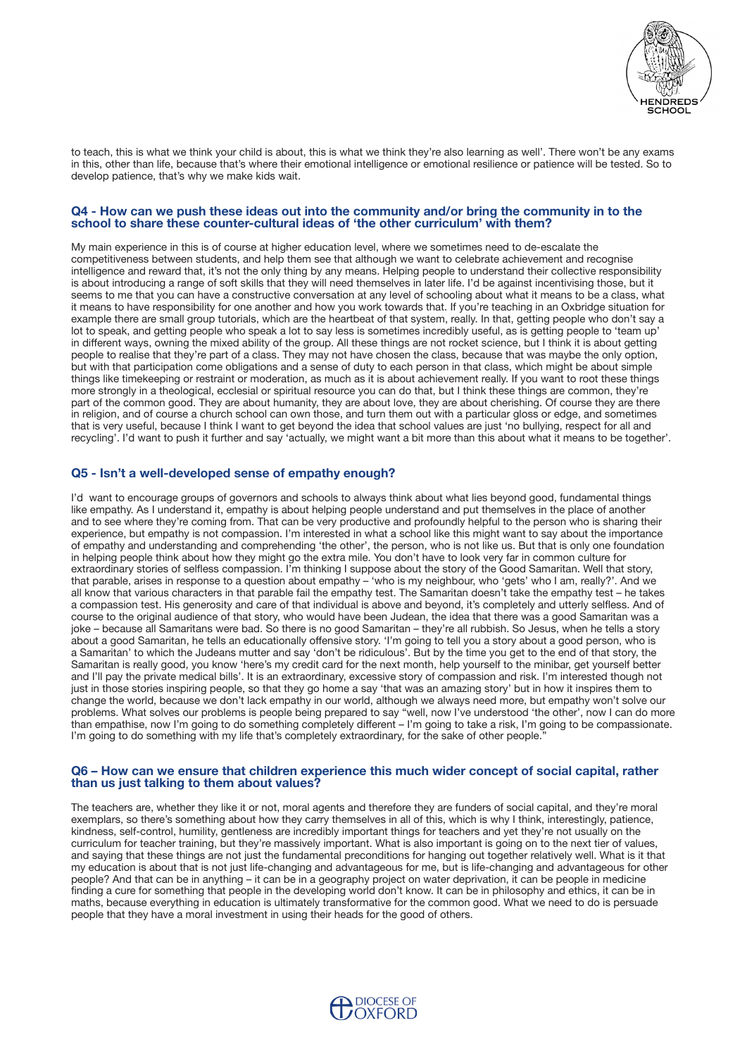

to teach, this is what we think your child is about, this is what we think they're also learning as well'. There won't be any exams in this, other than life, because that's where their emotional intelligence or emotional resilience or patience will be tested. So to develop patience, that's why we make kids wait.

### **Q4 - How can we push these ideas out into the community and/or bring the community in to the school to share these counter-cultural ideas of 'the other curriculum' with them?**

My main experience in this is of course at higher education level, where we sometimes need to de-escalate the competitiveness between students, and help them see that although we want to celebrate achievement and recognise intelligence and reward that, it's not the only thing by any means. Helping people to understand their collective responsibility is about introducing a range of soft skills that they will need themselves in later life. I'd be against incentivising those, but it seems to me that you can have a constructive conversation at any level of schooling about what it means to be a class, what it means to have responsibility for one another and how you work towards that. If you're teaching in an Oxbridge situation for example there are small group tutorials, which are the heartbeat of that system, really. In that, getting people who don't say a lot to speak, and getting people who speak a lot to say less is sometimes incredibly useful, as is getting people to 'team up' in diferent ways, owning the mixed ability of the group. All these things are not rocket science, but I think it is about getting people to realise that they're part of a class. They may not have chosen the class, because that was maybe the only option, but with that participation come obligations and a sense of duty to each person in that class, which might be about simple things like timekeeping or restraint or moderation, as much as it is about achievement really. If you want to root these things more strongly in a theological, ecclesial or spiritual resource you can do that, but I think these things are common, they're part of the common good. They are about humanity, they are about love, they are about cherishing. Of course they are there in religion, and of course a church school can own those, and turn them out with a particular gloss or edge, and sometimes that is very useful, because I think I want to get beyond the idea that school values are just 'no bullying, respect for all and recycling'. I'd want to push it further and say 'actually, we might want a bit more than this about what it means to be together'.

### **Q5 - Isn't a well-developed sense of empathy enough?**

I'd want to encourage groups of governors and schools to always think about what lies beyond good, fundamental things like empathy. As I understand it, empathy is about helping people understand and put themselves in the place of another and to see where they're coming from. That can be very productive and profoundly helpful to the person who is sharing their experience, but empathy is not compassion. I'm interested in what a school like this might want to say about the importance of empathy and understanding and comprehending 'the other', the person, who is not like us. But that is only one foundation in helping people think about how they might go the extra mile. You don't have to look very far in common culture for extraordinary stories of selfess compassion. I'm thinking I suppose about the story of the Good Samaritan. Well that story, that parable, arises in response to a question about empathy – 'who is my neighbour, who 'gets' who I am, really?'. And we all know that various characters in that parable fail the empathy test. The Samaritan doesn't take the empathy test – he takes a compassion test. His generosity and care of that individual is above and beyond, it's completely and utterly selfess. And of course to the original audience of that story, who would have been Judean, the idea that there was a good Samaritan was a joke – because all Samaritans were bad. So there is no good Samaritan – they're all rubbish. So Jesus, when he tells a story about a good Samaritan, he tells an educationally ofensive story. 'I'm going to tell you a story about a good person, who is a Samaritan' to which the Judeans mutter and say 'don't be ridiculous'. But by the time you get to the end of that story, the Samaritan is really good, you know 'here's my credit card for the next month, help yourself to the minibar, get yourself better and I'll pay the private medical bills'. It is an extraordinary, excessive story of compassion and risk. I'm interested though not just in those stories inspiring people, so that they go home a say 'that was an amazing story' but in how it inspires them to change the world, because we don't lack empathy in our world, although we always need more, but empathy won't solve our problems. What solves our problems is people being prepared to say "well, now I've understood 'the other', now I can do more than empathise, now I'm going to do something completely diferent – I'm going to take a risk, I'm going to be compassionate. I'm going to do something with my life that's completely extraordinary, for the sake of other people."

#### **Q6 – How can we ensure that children experience this much wider concept of social capital, rather than us just talking to them about values?**

The teachers are, whether they like it or not, moral agents and therefore they are funders of social capital, and they're moral exemplars, so there's something about how they carry themselves in all of this, which is why I think, interestingly, patience, kindness, self-control, humility, gentleness are incredibly important things for teachers and yet they're not usually on the curriculum for teacher training, but they're massively important. What is also important is going on to the next tier of values, and saying that these things are not just the fundamental preconditions for hanging out together relatively well. What is it that my education is about that is not just life-changing and advantageous for me, but is life-changing and advantageous for other people? And that can be in anything – it can be in a geography project on water deprivation, it can be people in medicine finding a cure for something that people in the developing world don't know. It can be in philosophy and ethics, it can be in maths, because everything in education is ultimately transformative for the common good. What we need to do is persuade people that they have a moral investment in using their heads for the good of others.